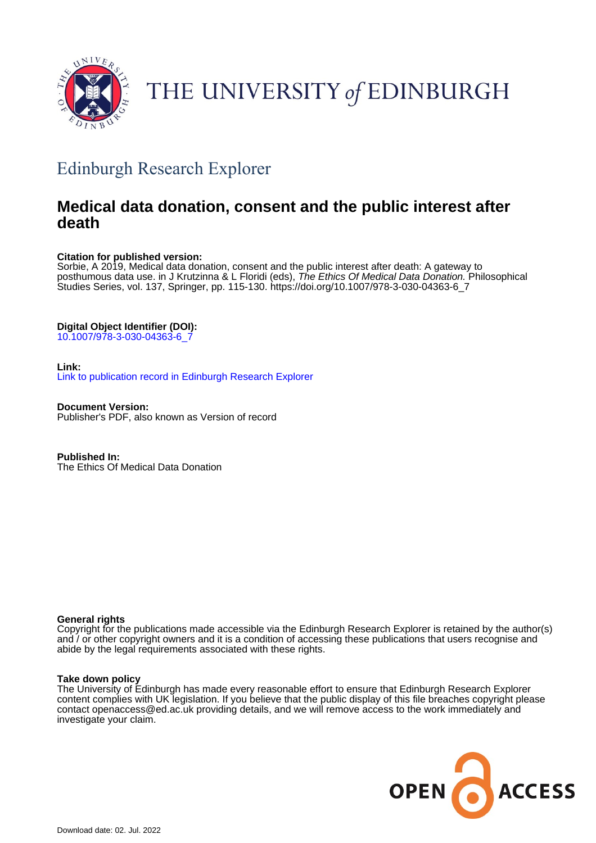

# THE UNIVERSITY of EDINBURGH

# Edinburgh Research Explorer

### **Medical data donation, consent and the public interest after death**

#### **Citation for published version:**

Sorbie, A 2019, Medical data donation, consent and the public interest after death: A gateway to posthumous data use. in J Krutzinna & L Floridi (eds), The Ethics Of Medical Data Donation. Philosophical Studies Series, vol. 137, Springer, pp. 115-130. [https://doi.org/10.1007/978-3-030-04363-6\\_7](https://doi.org/10.1007/978-3-030-04363-6_7)

#### **Digital Object Identifier (DOI):**

[10.1007/978-3-030-04363-6\\_7](https://doi.org/10.1007/978-3-030-04363-6_7)

#### **Link:**

[Link to publication record in Edinburgh Research Explorer](https://www.research.ed.ac.uk/en/publications/2228888a-85d4-4cdb-aa12-c77f3f0af99d)

**Document Version:** Publisher's PDF, also known as Version of record

**Published In:** The Ethics Of Medical Data Donation

#### **General rights**

Copyright for the publications made accessible via the Edinburgh Research Explorer is retained by the author(s) and / or other copyright owners and it is a condition of accessing these publications that users recognise and abide by the legal requirements associated with these rights.

#### **Take down policy**

The University of Edinburgh has made every reasonable effort to ensure that Edinburgh Research Explorer content complies with UK legislation. If you believe that the public display of this file breaches copyright please contact openaccess@ed.ac.uk providing details, and we will remove access to the work immediately and investigate your claim.

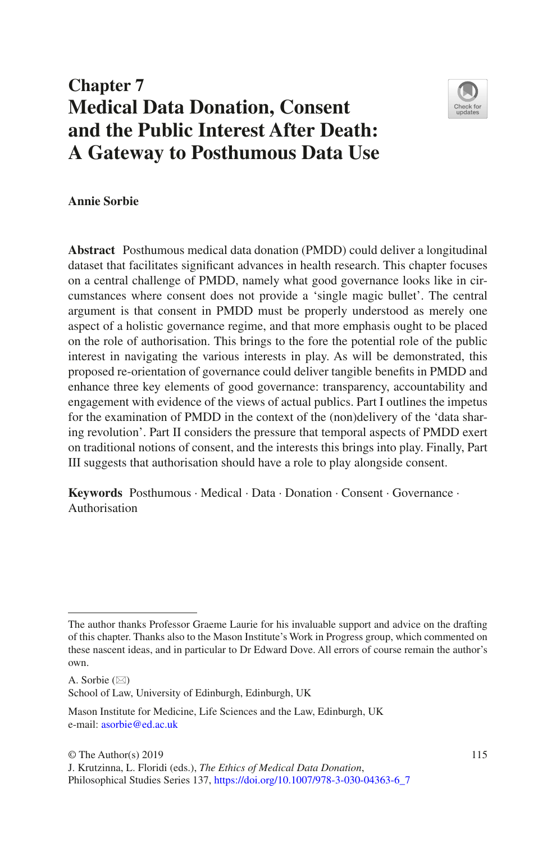## **Chapter 7 Medical Data Donation, Consent and the Public Interest After Death: A Gateway to Posthumous Data Use**



**Annie Sorbie**

**Abstract** Posthumous medical data donation (PMDD) could deliver a longitudinal dataset that facilitates significant advances in health research. This chapter focuses on a central challenge of PMDD, namely what good governance looks like in circumstances where consent does not provide a 'single magic bullet'. The central argument is that consent in PMDD must be properly understood as merely one aspect of a holistic governance regime, and that more emphasis ought to be placed on the role of authorisation. This brings to the fore the potential role of the public interest in navigating the various interests in play. As will be demonstrated, this proposed re-orientation of governance could deliver tangible benefits in PMDD and enhance three key elements of good governance: transparency, accountability and engagement with evidence of the views of actual publics. Part I outlines the impetus for the examination of PMDD in the context of the (non)delivery of the 'data sharing revolution'. Part II considers the pressure that temporal aspects of PMDD exert on traditional notions of consent, and the interests this brings into play. Finally, Part III suggests that authorisation should have a role to play alongside consent.

**Keywords** Posthumous · Medical · Data · Donation · Consent · Governance · Authorisation

The author thanks Professor Graeme Laurie for his invaluable support and advice on the drafting of this chapter. Thanks also to the Mason Institute's Work in Progress group, which commented on these nascent ideas, and in particular to Dr Edward Dove. All errors of course remain the author's own.

A. Sorbie  $(\boxtimes)$ School of Law, University of Edinburgh, Edinburgh, UK

Mason Institute for Medicine, Life Sciences and the Law, Edinburgh, UK e-mail: [asorbie@ed.ac.uk](mailto:asorbie@ed.ac.uk)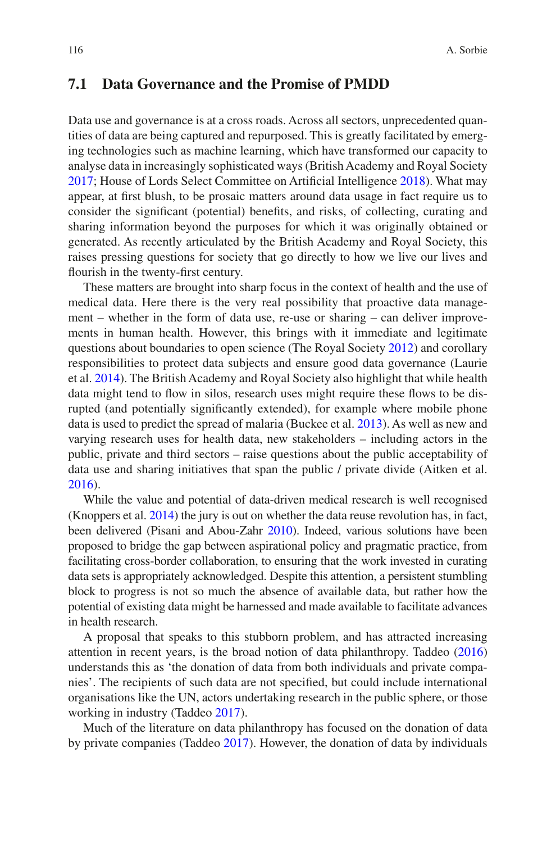#### **7.1 Data Governance and the Promise of PMDD**

Data use and governance is at a cross roads. Across all sectors, unprecedented quantities of data are being captured and repurposed. This is greatly facilitated by emerging technologies such as machine learning, which have transformed our capacity to analyse data in increasingly sophisticated ways (British Academy and Royal Society [2017;](#page-15-0) House of Lords Select Committee on Artificial Intelligence [2018](#page-15-1)). What may appear, at first blush, to be prosaic matters around data usage in fact require us to consider the significant (potential) benefits, and risks, of collecting, curating and sharing information beyond the purposes for which it was originally obtained or generated. As recently articulated by the British Academy and Royal Society, this raises pressing questions for society that go directly to how we live our lives and flourish in the twenty-first century.

These matters are brought into sharp focus in the context of health and the use of medical data. Here there is the very real possibility that proactive data management – whether in the form of data use, re-use or sharing – can deliver improvements in human health. However, this brings with it immediate and legitimate questions about boundaries to open science (The Royal Society [2012](#page-16-0)) and corollary responsibilities to protect data subjects and ensure good data governance (Laurie et al. [2014\)](#page-15-2). The British Academy and Royal Society also highlight that while health data might tend to flow in silos, research uses might require these flows to be disrupted (and potentially significantly extended), for example where mobile phone data is used to predict the spread of malaria (Buckee et al. [2013](#page-15-3)). As well as new and varying research uses for health data, new stakeholders – including actors in the public, private and third sectors – raise questions about the public acceptability of data use and sharing initiatives that span the public / private divide (Aitken et al. [2016\)](#page-15-4).

While the value and potential of data-driven medical research is well recognised (Knoppers et al. [2014\)](#page-15-5) the jury is out on whether the data reuse revolution has, in fact, been delivered (Pisani and Abou-Zahr [2010](#page-16-1)). Indeed, various solutions have been proposed to bridge the gap between aspirational policy and pragmatic practice, from facilitating cross-border collaboration, to ensuring that the work invested in curating data sets is appropriately acknowledged. Despite this attention, a persistent stumbling block to progress is not so much the absence of available data, but rather how the potential of existing data might be harnessed and made available to facilitate advances in health research.

A proposal that speaks to this stubborn problem, and has attracted increasing attention in recent years, is the broad notion of data philanthropy. Taddeo [\(2016](#page-16-2)) understands this as 'the donation of data from both individuals and private companies'. The recipients of such data are not specified, but could include international organisations like the UN, actors undertaking research in the public sphere, or those working in industry (Taddeo [2017](#page-16-3)).

Much of the literature on data philanthropy has focused on the donation of data by private companies (Taddeo [2017\)](#page-16-3). However, the donation of data by individuals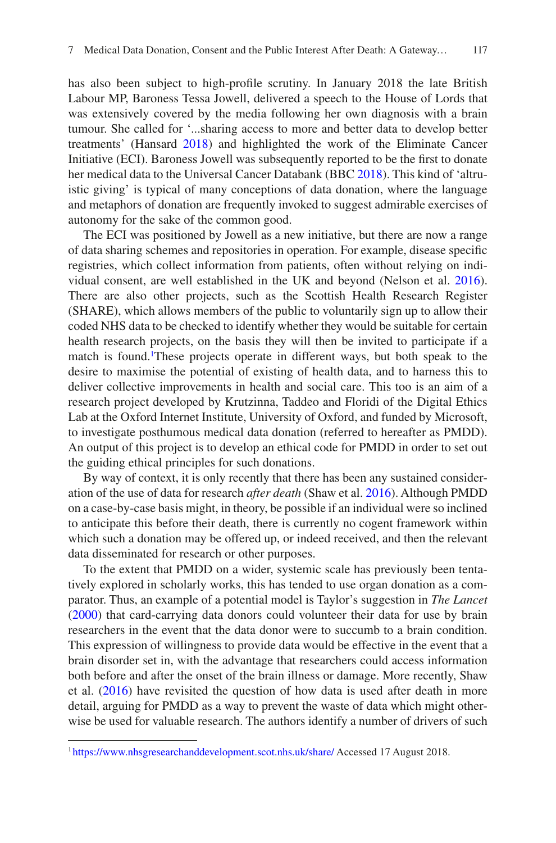has also been subject to high-profile scrutiny. In January 2018 the late British Labour MP, Baroness Tessa Jowell, delivered a speech to the House of Lords that was extensively covered by the media following her own diagnosis with a brain tumour. She called for '...sharing access to more and better data to develop better treatments' (Hansard [2018\)](#page-15-6) and highlighted the work of the Eliminate Cancer Initiative (ECI). Baroness Jowell was subsequently reported to be the first to donate her medical data to the Universal Cancer Databank (BBC [2018](#page-15-7)). This kind of 'altruistic giving' is typical of many conceptions of data donation, where the language and metaphors of donation are frequently invoked to suggest admirable exercises of autonomy for the sake of the common good.

The ECI was positioned by Jowell as a new initiative, but there are now a range of data sharing schemes and repositories in operation. For example, disease specific registries, which collect information from patients, often without relying on individual consent, are well established in the UK and beyond (Nelson et al. [2016\)](#page-16-4). There are also other projects, such as the Scottish Health Research Register (SHARE), which allows members of the public to voluntarily sign up to allow their coded NHS data to be checked to identify whether they would be suitable for certain health research projects, on the basis they will then be invited to participate if a match is found.<sup>[1](#page-3-0)</sup>These projects operate in different ways, but both speak to the desire to maximise the potential of existing of health data, and to harness this to deliver collective improvements in health and social care. This too is an aim of a research project developed by Krutzinna, Taddeo and Floridi of the Digital Ethics Lab at the Oxford Internet Institute, University of Oxford, and funded by Microsoft, to investigate posthumous medical data donation (referred to hereafter as PMDD). An output of this project is to develop an ethical code for PMDD in order to set out the guiding ethical principles for such donations.

By way of context, it is only recently that there has been any sustained consideration of the use of data for research *after death* (Shaw et al. [2016](#page-16-5)). Although PMDD on a case-by-case basis might, in theory, be possible if an individual were so inclined to anticipate this before their death, there is currently no cogent framework within which such a donation may be offered up, or indeed received, and then the relevant data disseminated for research or other purposes.

To the extent that PMDD on a wider, systemic scale has previously been tentatively explored in scholarly works, this has tended to use organ donation as a comparator. Thus, an example of a potential model is Taylor's suggestion in *The Lancet* [\(2000](#page-16-6)) that card-carrying data donors could volunteer their data for use by brain researchers in the event that the data donor were to succumb to a brain condition. This expression of willingness to provide data would be effective in the event that a brain disorder set in, with the advantage that researchers could access information both before and after the onset of the brain illness or damage. More recently, Shaw et al. [\(2016](#page-16-5)) have revisited the question of how data is used after death in more detail, arguing for PMDD as a way to prevent the waste of data which might otherwise be used for valuable research. The authors identify a number of drivers of such

<span id="page-3-0"></span><sup>&</sup>lt;sup>1</sup><https://www.nhsgresearchanddevelopment.scot.nhs.uk/share/> Accessed 17 August 2018.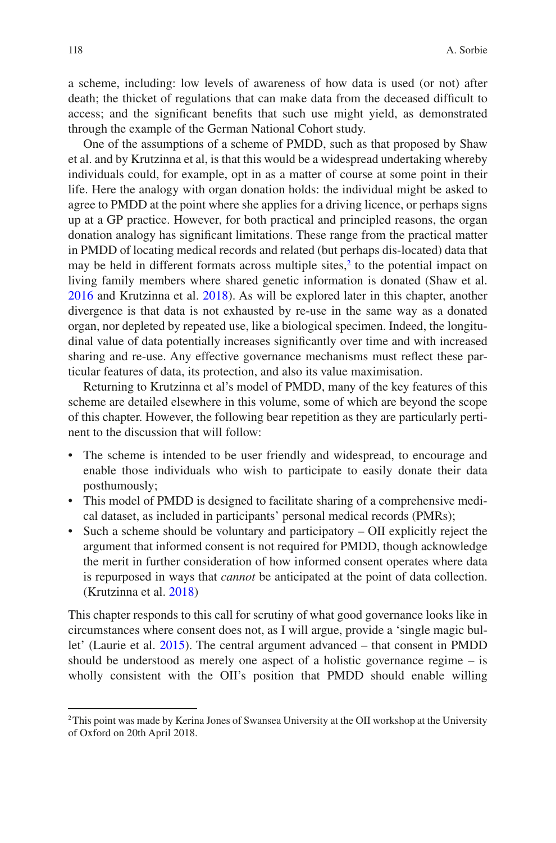a scheme, including: low levels of awareness of how data is used (or not) after death; the thicket of regulations that can make data from the deceased difficult to access; and the significant benefits that such use might yield, as demonstrated through the example of the German National Cohort study.

One of the assumptions of a scheme of PMDD, such as that proposed by Shaw et al. and by Krutzinna et al, is that this would be a widespread undertaking whereby individuals could, for example, opt in as a matter of course at some point in their life. Here the analogy with organ donation holds: the individual might be asked to agree to PMDD at the point where she applies for a driving licence, or perhaps signs up at a GP practice. However, for both practical and principled reasons, the organ donation analogy has significant limitations. These range from the practical matter in PMDD of locating medical records and related (but perhaps dis-located) data that may be held in different formats across multiple sites, $<sup>2</sup>$  to the potential impact on</sup> living family members where shared genetic information is donated (Shaw et al. [2016](#page-16-5) and Krutzinna et al. [2018](#page-15-8)). As will be explored later in this chapter, another divergence is that data is not exhausted by re-use in the same way as a donated organ, nor depleted by repeated use, like a biological specimen. Indeed, the longitudinal value of data potentially increases significantly over time and with increased sharing and re-use. Any effective governance mechanisms must reflect these particular features of data, its protection, and also its value maximisation.

Returning to Krutzinna et al's model of PMDD, many of the key features of this scheme are detailed elsewhere in this volume, some of which are beyond the scope of this chapter. However, the following bear repetition as they are particularly pertinent to the discussion that will follow:

- The scheme is intended to be user friendly and widespread, to encourage and enable those individuals who wish to participate to easily donate their data posthumously;
- This model of PMDD is designed to facilitate sharing of a comprehensive medical dataset, as included in participants' personal medical records (PMRs);
- Such a scheme should be voluntary and participatory OII explicitly reject the argument that informed consent is not required for PMDD, though acknowledge the merit in further consideration of how informed consent operates where data is repurposed in ways that *cannot* be anticipated at the point of data collection. (Krutzinna et al. [2018\)](#page-15-8)

This chapter responds to this call for scrutiny of what good governance looks like in circumstances where consent does not, as I will argue, provide a 'single magic bullet' (Laurie et al. [2015](#page-16-7)). The central argument advanced – that consent in PMDD should be understood as merely one aspect of a holistic governance regime – is wholly consistent with the OII's position that PMDD should enable willing

<span id="page-4-0"></span><sup>2</sup>This point was made by Kerina Jones of Swansea University at the OII workshop at the University of Oxford on 20th April 2018.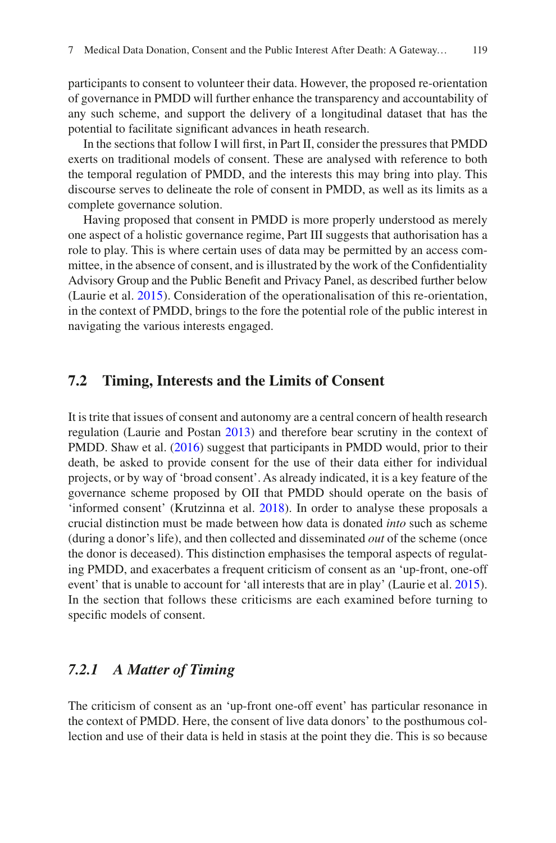participants to consent to volunteer their data. However, the proposed re-orientation of governance in PMDD will further enhance the transparency and accountability of any such scheme, and support the delivery of a longitudinal dataset that has the potential to facilitate significant advances in heath research.

In the sections that follow I will first, in Part II, consider the pressures that PMDD exerts on traditional models of consent. These are analysed with reference to both the temporal regulation of PMDD, and the interests this may bring into play. This discourse serves to delineate the role of consent in PMDD, as well as its limits as a complete governance solution.

Having proposed that consent in PMDD is more properly understood as merely one aspect of a holistic governance regime, Part III suggests that authorisation has a role to play. This is where certain uses of data may be permitted by an access committee, in the absence of consent, and is illustrated by the work of the Confidentiality Advisory Group and the Public Benefit and Privacy Panel, as described further below (Laurie et al. [2015](#page-16-7)). Consideration of the operationalisation of this re-orientation, in the context of PMDD, brings to the fore the potential role of the public interest in navigating the various interests engaged.

#### **7.2 Timing, Interests and the Limits of Consent**

It is trite that issues of consent and autonomy are a central concern of health research regulation (Laurie and Postan [2013](#page-15-9)) and therefore bear scrutiny in the context of PMDD. Shaw et al. ([2016\)](#page-16-5) suggest that participants in PMDD would, prior to their death, be asked to provide consent for the use of their data either for individual projects, or by way of 'broad consent'. As already indicated, it is a key feature of the governance scheme proposed by OII that PMDD should operate on the basis of 'informed consent' (Krutzinna et al. [2018](#page-15-8)). In order to analyse these proposals a crucial distinction must be made between how data is donated *into* such as scheme (during a donor's life), and then collected and disseminated *out* of the scheme (once the donor is deceased). This distinction emphasises the temporal aspects of regulating PMDD, and exacerbates a frequent criticism of consent as an 'up-front, one-off event' that is unable to account for 'all interests that are in play' (Laurie et al. [2015\)](#page-16-7). In the section that follows these criticisms are each examined before turning to specific models of consent.

#### *7.2.1 A Matter of Timing*

The criticism of consent as an 'up-front one-off event' has particular resonance in the context of PMDD. Here, the consent of live data donors' to the posthumous collection and use of their data is held in stasis at the point they die. This is so because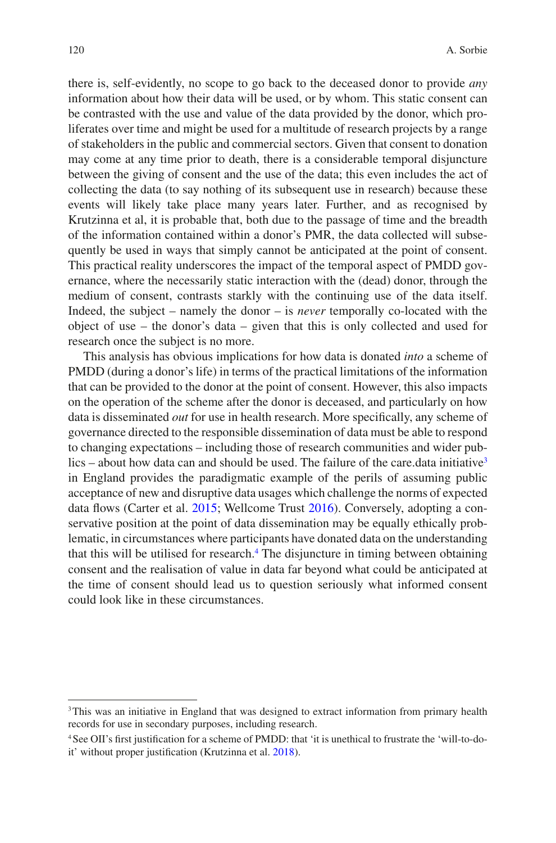there is, self-evidently, no scope to go back to the deceased donor to provide *any* information about how their data will be used, or by whom. This static consent can be contrasted with the use and value of the data provided by the donor, which proliferates over time and might be used for a multitude of research projects by a range of stakeholders in the public and commercial sectors. Given that consent to donation may come at any time prior to death, there is a considerable temporal disjuncture between the giving of consent and the use of the data; this even includes the act of collecting the data (to say nothing of its subsequent use in research) because these events will likely take place many years later. Further, and as recognised by Krutzinna et al, it is probable that, both due to the passage of time and the breadth of the information contained within a donor's PMR, the data collected will subsequently be used in ways that simply cannot be anticipated at the point of consent. This practical reality underscores the impact of the temporal aspect of PMDD governance, where the necessarily static interaction with the (dead) donor, through the medium of consent, contrasts starkly with the continuing use of the data itself. Indeed, the subject – namely the donor – is *never* temporally co-located with the object of use  $-$  the donor's data  $-$  given that this is only collected and used for research once the subject is no more.

This analysis has obvious implications for how data is donated *into* a scheme of PMDD (during a donor's life) in terms of the practical limitations of the information that can be provided to the donor at the point of consent. However, this also impacts on the operation of the scheme after the donor is deceased, and particularly on how data is disseminated *out* for use in health research. More specifically, any scheme of governance directed to the responsible dissemination of data must be able to respond to changing expectations – including those of research communities and wider pub-lics – about how data can and should be used. The failure of the care.data initiative<sup>[3](#page-6-0)</sup> in England provides the paradigmatic example of the perils of assuming public acceptance of new and disruptive data usages which challenge the norms of expected data flows (Carter et al. [2015;](#page-15-10) Wellcome Trust [2016\)](#page-16-8). Conversely, adopting a conservative position at the point of data dissemination may be equally ethically problematic, in circumstances where participants have donated data on the understanding that this will be utilised for research.<sup>4</sup> The disjuncture in timing between obtaining consent and the realisation of value in data far beyond what could be anticipated at the time of consent should lead us to question seriously what informed consent could look like in these circumstances.

<span id="page-6-0"></span><sup>&</sup>lt;sup>3</sup>This was an initiative in England that was designed to extract information from primary health records for use in secondary purposes, including research.

<span id="page-6-1"></span><sup>4</sup>See OII's first justification for a scheme of PMDD: that 'it is unethical to frustrate the 'will-to-doit' without proper justification (Krutzinna et al. [2018\)](#page-15-8).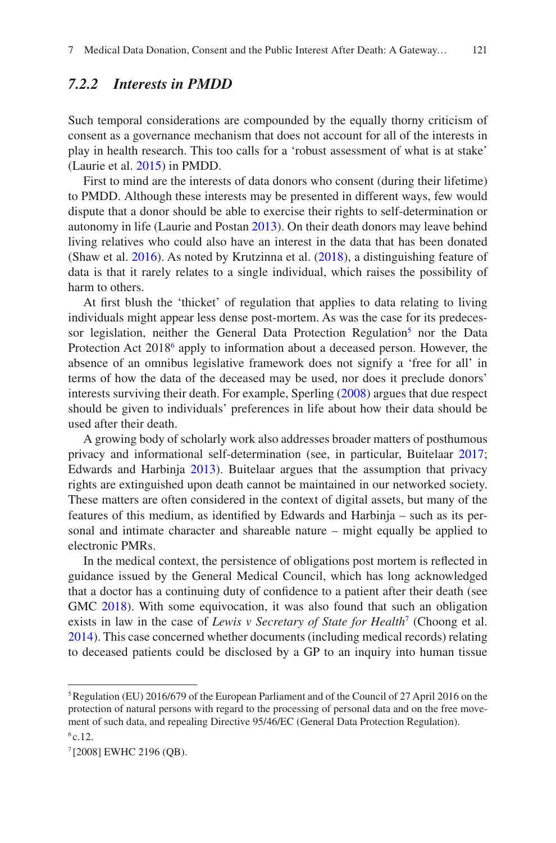#### *7.2.2 Interests in PMDD*

Such temporal considerations are compounded by the equally thorny criticism of consent as a governance mechanism that does not account for all of the interests in play in health research. This too calls for a 'robust assessment of what is at stake' (Laurie et al. [2015\)](#page-16-7) in PMDD.

First to mind are the interests of data donors who consent (during their lifetime) to PMDD. Although these interests may be presented in different ways, few would dispute that a donor should be able to exercise their rights to self-determination or autonomy in life (Laurie and Postan [2013](#page-15-9)). On their death donors may leave behind living relatives who could also have an interest in the data that has been donated (Shaw et al. [2016](#page-16-5)). As noted by Krutzinna et al. ([2018\)](#page-15-8), a distinguishing feature of data is that it rarely relates to a single individual, which raises the possibility of harm to others.

At first blush the 'thicket' of regulation that applies to data relating to living individuals might appear less dense post-mortem. As was the case for its predecessor legislation, neither the General Data Protection Regulation<sup>5</sup> nor the Data Protection Act 2018<sup>6</sup> apply to information about a deceased person. However, the absence of an omnibus legislative framework does not signify a 'free for all' in terms of how the data of the deceased may be used, nor does it preclude donors' interests surviving their death. For example, Sperling ([2008\)](#page-16-9) argues that due respect should be given to individuals' preferences in life about how their data should be used after their death.

A growing body of scholarly work also addresses broader matters of posthumous privacy and informational self-determination (see, in particular, Buitelaar [2017;](#page-15-11) Edwards and Harbinja [2013\)](#page-15-12). Buitelaar argues that the assumption that privacy rights are extinguished upon death cannot be maintained in our networked society. These matters are often considered in the context of digital assets, but many of the features of this medium, as identified by Edwards and Harbinja – such as its personal and intimate character and shareable nature – might equally be applied to electronic PMRs.

In the medical context, the persistence of obligations post mortem is reflected in guidance issued by the General Medical Council, which has long acknowledged that a doctor has a continuing duty of confidence to a patient after their death (see GMC [2018](#page-15-13)). With some equivocation, it was also found that such an obligation exists in law in the case of *Lewis v Secretary of State for Health*<sup>[7](#page-7-2)</sup> (Choong et al. [2014\)](#page-15-14). This case concerned whether documents (including medical records) relating to deceased patients could be disclosed by a GP to an inquiry into human tissue

<span id="page-7-0"></span><sup>5</sup>Regulation (EU) 2016/679 of the European Parliament and of the Council of 27 April 2016 on the protection of natural persons with regard to the processing of personal data and on the free movement of such data, and repealing Directive 95/46/EC (General Data Protection Regulation).  $^6$  c.12.

<span id="page-7-2"></span><span id="page-7-1"></span><sup>7</sup> [2008] EWHC 2196 (QB).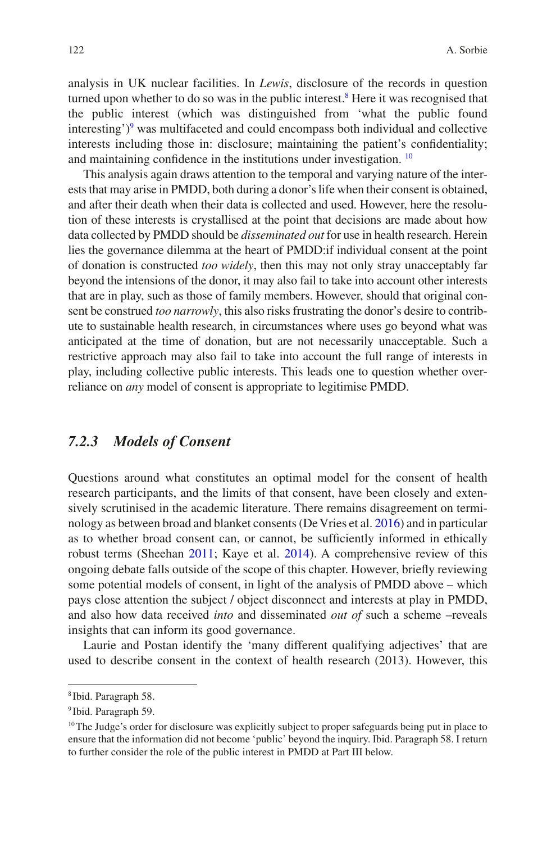analysis in UK nuclear facilities. In *Lewis*, disclosure of the records in question turned upon whether to do so was in the public interest.<sup>[8](#page-8-0)</sup> Here it was recognised that the public interest (which was distinguished from 'what the public found interesting')<sup>[9](#page-8-1)</sup> was multifaceted and could encompass both individual and collective interests including those in: disclosure; maintaining the patient's confidentiality; and maintaining confidence in the institutions under investigation. <sup>10</sup>

This analysis again draws attention to the temporal and varying nature of the interests that may arise in PMDD, both during a donor's life when their consent is obtained, and after their death when their data is collected and used. However, here the resolution of these interests is crystallised at the point that decisions are made about how data collected by PMDD should be *disseminated out* for use in health research. Herein lies the governance dilemma at the heart of PMDD:if individual consent at the point of donation is constructed *too widely*, then this may not only stray unacceptably far beyond the intensions of the donor, it may also fail to take into account other interests that are in play, such as those of family members. However, should that original consent be construed *too narrowly*, this also risks frustrating the donor's desire to contribute to sustainable health research, in circumstances where uses go beyond what was anticipated at the time of donation, but are not necessarily unacceptable. Such a restrictive approach may also fail to take into account the full range of interests in play, including collective public interests. This leads one to question whether overreliance on *any* model of consent is appropriate to legitimise PMDD.

#### *7.2.3 Models of Consent*

Questions around what constitutes an optimal model for the consent of health research participants, and the limits of that consent, have been closely and extensively scrutinised in the academic literature. There remains disagreement on terminology as between broad and blanket consents (De Vries et al. [2016](#page-15-15)) and in particular as to whether broad consent can, or cannot, be sufficiently informed in ethically robust terms (Sheehan [2011](#page-16-10); Kaye et al. [2014\)](#page-15-16). A comprehensive review of this ongoing debate falls outside of the scope of this chapter. However, briefly reviewing some potential models of consent, in light of the analysis of PMDD above – which pays close attention the subject / object disconnect and interests at play in PMDD, and also how data received *into* and disseminated *out of* such a scheme –reveals insights that can inform its good governance.

Laurie and Postan identify the 'many different qualifying adjectives' that are used to describe consent in the context of health research (2013). However, this

<span id="page-8-0"></span><sup>8</sup> Ibid. Paragraph 58.

<span id="page-8-1"></span><sup>9</sup> Ibid. Paragraph 59.

<span id="page-8-2"></span><sup>&</sup>lt;sup>10</sup>The Judge's order for disclosure was explicitly subject to proper safeguards being put in place to ensure that the information did not become 'public' beyond the inquiry. Ibid. Paragraph 58. I return to further consider the role of the public interest in PMDD at Part III below.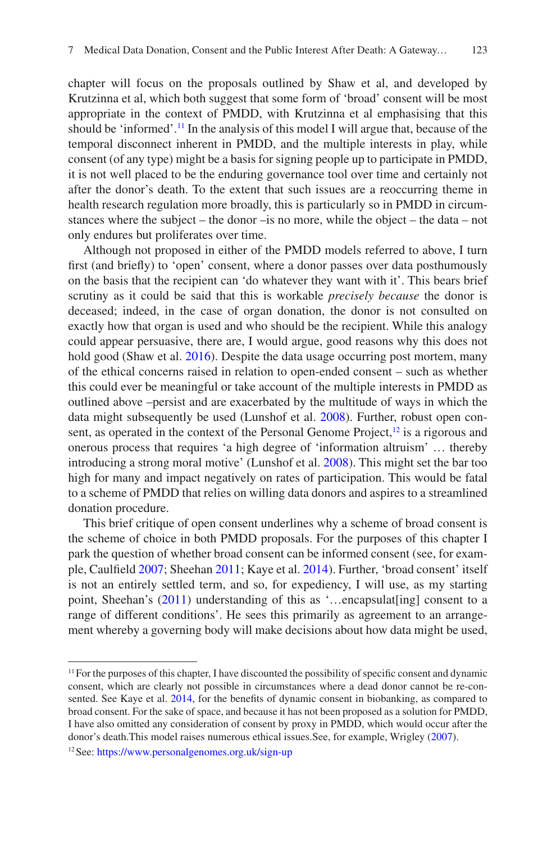chapter will focus on the proposals outlined by Shaw et al, and developed by Krutzinna et al, which both suggest that some form of 'broad' consent will be most appropriate in the context of PMDD, with Krutzinna et al emphasising that this should be 'informed'[.11](#page-9-0) In the analysis of this model I will argue that, because of the temporal disconnect inherent in PMDD, and the multiple interests in play, while consent (of any type) might be a basis for signing people up to participate in PMDD, it is not well placed to be the enduring governance tool over time and certainly not after the donor's death. To the extent that such issues are a reoccurring theme in health research regulation more broadly, this is particularly so in PMDD in circumstances where the subject – the donor –is no more, while the object – the data – not only endures but proliferates over time.

Although not proposed in either of the PMDD models referred to above, I turn first (and briefly) to 'open' consent, where a donor passes over data posthumously on the basis that the recipient can 'do whatever they want with it'. This bears brief scrutiny as it could be said that this is workable *precisely because* the donor is deceased; indeed, in the case of organ donation, the donor is not consulted on exactly how that organ is used and who should be the recipient. While this analogy could appear persuasive, there are, I would argue, good reasons why this does not hold good (Shaw et al. [2016\)](#page-16-5). Despite the data usage occurring post mortem, many of the ethical concerns raised in relation to open-ended consent – such as whether this could ever be meaningful or take account of the multiple interests in PMDD as outlined above –persist and are exacerbated by the multitude of ways in which the data might subsequently be used (Lunshof et al. [2008](#page-16-11)). Further, robust open consent, as operated in the context of the Personal Genome Project, $12$  is a rigorous and onerous process that requires 'a high degree of 'information altruism' … thereby introducing a strong moral motive' (Lunshof et al. [2008\)](#page-16-11). This might set the bar too high for many and impact negatively on rates of participation. This would be fatal to a scheme of PMDD that relies on willing data donors and aspires to a streamlined donation procedure.

This brief critique of open consent underlines why a scheme of broad consent is the scheme of choice in both PMDD proposals. For the purposes of this chapter I park the question of whether broad consent can be informed consent (see, for example, Caulfield [2007](#page-15-17); Sheehan [2011](#page-16-10); Kaye et al. [2014\)](#page-15-16). Further, 'broad consent' itself is not an entirely settled term, and so, for expediency, I will use, as my starting point, Sheehan's ([2011\)](#page-16-10) understanding of this as '…encapsulat[ing] consent to a range of different conditions'. He sees this primarily as agreement to an arrangement whereby a governing body will make decisions about how data might be used,

<span id="page-9-0"></span> $<sup>11</sup>$  For the purposes of this chapter, I have discounted the possibility of specific consent and dynamic</sup> consent, which are clearly not possible in circumstances where a dead donor cannot be re-consented. See Kaye et al. [2014](#page-15-16), for the benefits of dynamic consent in biobanking, as compared to broad consent. For the sake of space, and because it has not been proposed as a solution for PMDD, I have also omitted any consideration of consent by proxy in PMDD, which would occur after the donor's death.This model raises numerous ethical issues.See, for example, Wrigley ([2007\)](#page-16-12).

<span id="page-9-1"></span><sup>12</sup>See: <https://www.personalgenomes.org.uk/sign-up>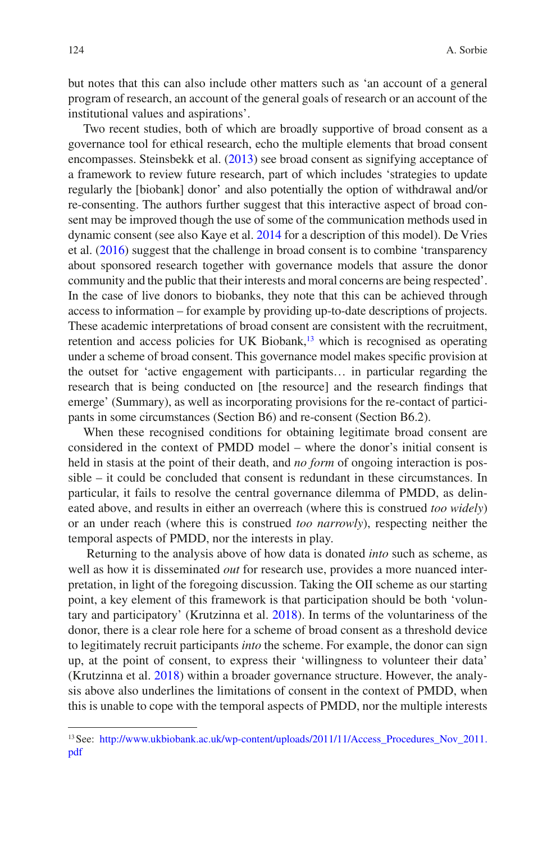but notes that this can also include other matters such as 'an account of a general program of research, an account of the general goals of research or an account of the institutional values and aspirations'.

Two recent studies, both of which are broadly supportive of broad consent as a governance tool for ethical research, echo the multiple elements that broad consent encompasses. Steinsbekk et al. ([2013](#page-16-13)) see broad consent as signifying acceptance of a framework to review future research, part of which includes 'strategies to update regularly the [biobank] donor' and also potentially the option of withdrawal and/or re-consenting. The authors further suggest that this interactive aspect of broad consent may be improved though the use of some of the communication methods used in dynamic consent (see also Kaye et al. [2014](#page-15-16) for a description of this model). De Vries et al. ([2016\)](#page-15-15) suggest that the challenge in broad consent is to combine 'transparency about sponsored research together with governance models that assure the donor community and the public that their interests and moral concerns are being respected'. In the case of live donors to biobanks, they note that this can be achieved through access to information – for example by providing up-to-date descriptions of projects. These academic interpretations of broad consent are consistent with the recruitment, retention and access policies for UK Biobank[,13](#page-10-0) which is recognised as operating under a scheme of broad consent. This governance model makes specific provision at the outset for 'active engagement with participants… in particular regarding the research that is being conducted on [the resource] and the research findings that emerge' (Summary), as well as incorporating provisions for the re-contact of participants in some circumstances (Section B6) and re-consent (Section B6.2).

When these recognised conditions for obtaining legitimate broad consent are considered in the context of PMDD model – where the donor's initial consent is held in stasis at the point of their death, and *no form* of ongoing interaction is possible – it could be concluded that consent is redundant in these circumstances. In particular, it fails to resolve the central governance dilemma of PMDD, as delineated above, and results in either an overreach (where this is construed *too widely*) or an under reach (where this is construed *too narrowly*), respecting neither the temporal aspects of PMDD, nor the interests in play.

 Returning to the analysis above of how data is donated *into* such as scheme, as well as how it is disseminated *out* for research use, provides a more nuanced interpretation, in light of the foregoing discussion. Taking the OII scheme as our starting point, a key element of this framework is that participation should be both 'voluntary and participatory' (Krutzinna et al. [2018](#page-15-8)). In terms of the voluntariness of the donor, there is a clear role here for a scheme of broad consent as a threshold device to legitimately recruit participants *into* the scheme. For example, the donor can sign up, at the point of consent, to express their 'willingness to volunteer their data' (Krutzinna et al. [2018](#page-15-8)) within a broader governance structure. However, the analysis above also underlines the limitations of consent in the context of PMDD, when this is unable to cope with the temporal aspects of PMDD, nor the multiple interests

<span id="page-10-0"></span><sup>&</sup>lt;sup>13</sup>See: [http://www.ukbiobank.ac.uk/wp-content/uploads/2011/11/Access\\_Procedures\\_Nov\\_2011.](http://www.ukbiobank.ac.uk/wp-content/uploads/2011/11/Access_Procedures_Nov_2011.pdf) [pdf](http://www.ukbiobank.ac.uk/wp-content/uploads/2011/11/Access_Procedures_Nov_2011.pdf)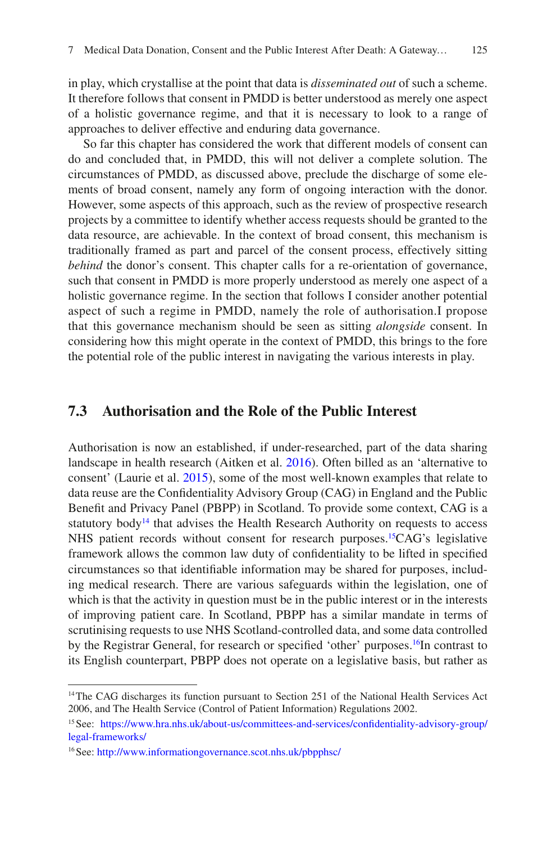in play, which crystallise at the point that data is *disseminated out* of such a scheme. It therefore follows that consent in PMDD is better understood as merely one aspect of a holistic governance regime, and that it is necessary to look to a range of approaches to deliver effective and enduring data governance.

So far this chapter has considered the work that different models of consent can do and concluded that, in PMDD, this will not deliver a complete solution. The circumstances of PMDD, as discussed above, preclude the discharge of some elements of broad consent, namely any form of ongoing interaction with the donor. However, some aspects of this approach, such as the review of prospective research projects by a committee to identify whether access requests should be granted to the data resource, are achievable. In the context of broad consent, this mechanism is traditionally framed as part and parcel of the consent process, effectively sitting *behind* the donor's consent. This chapter calls for a re-orientation of governance, such that consent in PMDD is more properly understood as merely one aspect of a holistic governance regime. In the section that follows I consider another potential aspect of such a regime in PMDD, namely the role of authorisation.I propose that this governance mechanism should be seen as sitting *alongside* consent. In considering how this might operate in the context of PMDD, this brings to the fore the potential role of the public interest in navigating the various interests in play.

#### **7.3 Authorisation and the Role of the Public Interest**

Authorisation is now an established, if under-researched, part of the data sharing landscape in health research (Aitken et al. [2016](#page-15-4)). Often billed as an 'alternative to consent' (Laurie et al. [2015\)](#page-16-7), some of the most well-known examples that relate to data reuse are the Confidentiality Advisory Group (CAG) in England and the Public Benefit and Privacy Panel (PBPP) in Scotland. To provide some context, CAG is a statutory body<sup>14</sup> that advises the Health Research Authority on requests to access NHS patient records without consent for research purposes.<sup>15</sup>CAG's legislative framework allows the common law duty of confidentiality to be lifted in specified circumstances so that identifiable information may be shared for purposes, including medical research. There are various safeguards within the legislation, one of which is that the activity in question must be in the public interest or in the interests of improving patient care. In Scotland, PBPP has a similar mandate in terms of scrutinising requests to use NHS Scotland-controlled data, and some data controlled by the Registrar General, for research or specified 'other' purposes.<sup>16</sup>In contrast to its English counterpart, PBPP does not operate on a legislative basis, but rather as

<span id="page-11-0"></span><sup>&</sup>lt;sup>14</sup>The CAG discharges its function pursuant to Section 251 of the National Health Services Act 2006, and The Health Service (Control of Patient Information) Regulations 2002.

<span id="page-11-1"></span><sup>&</sup>lt;sup>15</sup>See: [https://www.hra.nhs.uk/about-us/committees-and-services/confidentiality-advisory-group/](https://www.hra.nhs.uk/about-us/committees-and-services/confidentiality-advisory-group/legal-frameworks/) [legal-frameworks/](https://www.hra.nhs.uk/about-us/committees-and-services/confidentiality-advisory-group/legal-frameworks/)

<span id="page-11-2"></span><sup>&</sup>lt;sup>16</sup>See: <http://www.informationgovernance.scot.nhs.uk/pbpphsc/>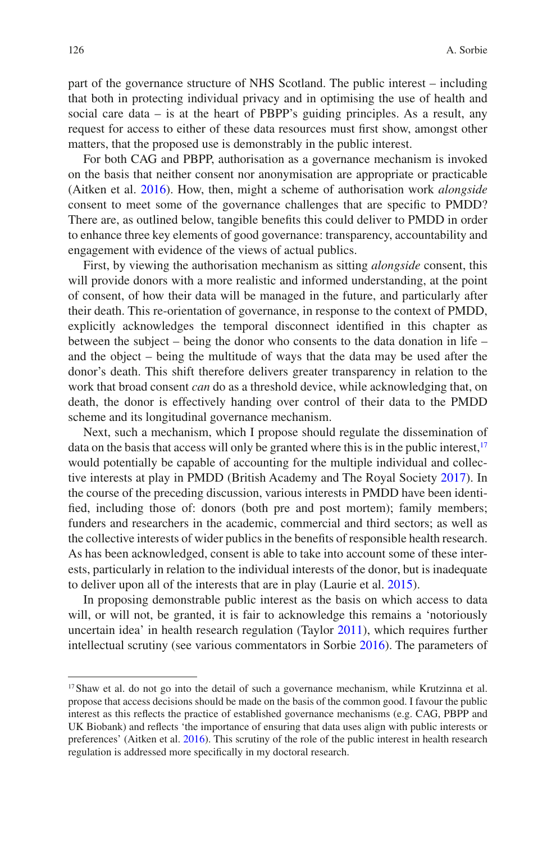part of the governance structure of NHS Scotland. The public interest – including that both in protecting individual privacy and in optimising the use of health and social care data  $-$  is at the heart of PBPP's guiding principles. As a result, any request for access to either of these data resources must first show, amongst other matters, that the proposed use is demonstrably in the public interest.

For both CAG and PBPP, authorisation as a governance mechanism is invoked on the basis that neither consent nor anonymisation are appropriate or practicable (Aitken et al. [2016](#page-15-4)). How, then, might a scheme of authorisation work *alongside* consent to meet some of the governance challenges that are specific to PMDD? There are, as outlined below, tangible benefits this could deliver to PMDD in order to enhance three key elements of good governance: transparency, accountability and engagement with evidence of the views of actual publics.

First, by viewing the authorisation mechanism as sitting *alongside* consent, this will provide donors with a more realistic and informed understanding, at the point of consent, of how their data will be managed in the future, and particularly after their death. This re-orientation of governance, in response to the context of PMDD, explicitly acknowledges the temporal disconnect identified in this chapter as between the subject – being the donor who consents to the data donation in life – and the object – being the multitude of ways that the data may be used after the donor's death. This shift therefore delivers greater transparency in relation to the work that broad consent *can* do as a threshold device, while acknowledging that, on death, the donor is effectively handing over control of their data to the PMDD scheme and its longitudinal governance mechanism.

Next, such a mechanism, which I propose should regulate the dissemination of data on the basis that access will only be granted where this is in the public interest,<sup>[17](#page-12-0)</sup> would potentially be capable of accounting for the multiple individual and collective interests at play in PMDD (British Academy and The Royal Society [2017\)](#page-15-0). In the course of the preceding discussion, various interests in PMDD have been identified, including those of: donors (both pre and post mortem); family members; funders and researchers in the academic, commercial and third sectors; as well as the collective interests of wider publics in the benefits of responsible health research. As has been acknowledged, consent is able to take into account some of these interests, particularly in relation to the individual interests of the donor, but is inadequate to deliver upon all of the interests that are in play (Laurie et al. [2015](#page-16-7)).

In proposing demonstrable public interest as the basis on which access to data will, or will not, be granted, it is fair to acknowledge this remains a 'notoriously uncertain idea' in health research regulation (Taylor [2011\)](#page-16-14), which requires further intellectual scrutiny (see various commentators in Sorbie [2016](#page-16-15)). The parameters of

<span id="page-12-0"></span><sup>&</sup>lt;sup>17</sup>Shaw et al. do not go into the detail of such a governance mechanism, while Krutzinna et al. propose that access decisions should be made on the basis of the common good. I favour the public interest as this reflects the practice of established governance mechanisms (e.g. CAG, PBPP and UK Biobank) and reflects 'the importance of ensuring that data uses align with public interests or preferences' (Aitken et al. [2016\)](#page-15-4). This scrutiny of the role of the public interest in health research regulation is addressed more specifically in my doctoral research.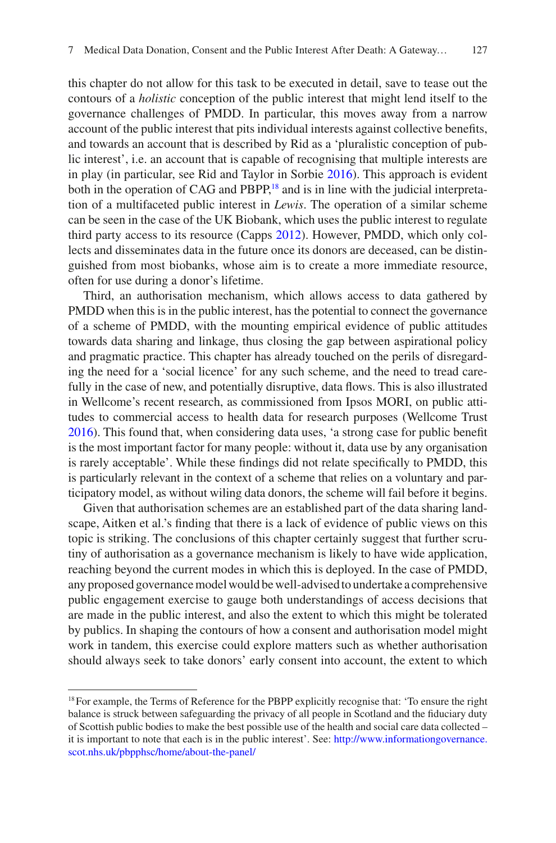this chapter do not allow for this task to be executed in detail, save to tease out the contours of a *holistic* conception of the public interest that might lend itself to the governance challenges of PMDD. In particular, this moves away from a narrow account of the public interest that pits individual interests against collective benefits, and towards an account that is described by Rid as a 'pluralistic conception of public interest', i.e. an account that is capable of recognising that multiple interests are in play (in particular, see Rid and Taylor in Sorbie [2016\)](#page-16-15). This approach is evident both in the operation of CAG and PBPP,<sup>18</sup> and is in line with the judicial interpretation of a multifaceted public interest in *Lewis*. The operation of a similar scheme can be seen in the case of the UK Biobank, which uses the public interest to regulate third party access to its resource (Capps [2012](#page-15-18)). However, PMDD, which only collects and disseminates data in the future once its donors are deceased, can be distinguished from most biobanks, whose aim is to create a more immediate resource, often for use during a donor's lifetime.

Third, an authorisation mechanism, which allows access to data gathered by PMDD when this is in the public interest, has the potential to connect the governance of a scheme of PMDD, with the mounting empirical evidence of public attitudes towards data sharing and linkage, thus closing the gap between aspirational policy and pragmatic practice. This chapter has already touched on the perils of disregarding the need for a 'social licence' for any such scheme, and the need to tread carefully in the case of new, and potentially disruptive, data flows. This is also illustrated in Wellcome's recent research, as commissioned from Ipsos MORI, on public attitudes to commercial access to health data for research purposes (Wellcome Trust [2016\)](#page-16-8). This found that, when considering data uses, 'a strong case for public benefit is the most important factor for many people: without it, data use by any organisation is rarely acceptable'. While these findings did not relate specifically to PMDD, this is particularly relevant in the context of a scheme that relies on a voluntary and participatory model, as without wiling data donors, the scheme will fail before it begins.

Given that authorisation schemes are an established part of the data sharing landscape, Aitken et al.'s finding that there is a lack of evidence of public views on this topic is striking. The conclusions of this chapter certainly suggest that further scrutiny of authorisation as a governance mechanism is likely to have wide application, reaching beyond the current modes in which this is deployed. In the case of PMDD, any proposed governance model would be well-advised to undertake a comprehensive public engagement exercise to gauge both understandings of access decisions that are made in the public interest, and also the extent to which this might be tolerated by publics. In shaping the contours of how a consent and authorisation model might work in tandem, this exercise could explore matters such as whether authorisation should always seek to take donors' early consent into account, the extent to which

<span id="page-13-0"></span><sup>&</sup>lt;sup>18</sup> For example, the Terms of Reference for the PBPP explicitly recognise that: 'To ensure the right balance is struck between safeguarding the privacy of all people in Scotland and the fiduciary duty of Scottish public bodies to make the best possible use of the health and social care data collected – it is important to note that each is in the public interest'. See: [http://www.informationgovernance.](http://www.informationgovernance.scot.nhs.uk/pbpphsc/home/about-the-panel/) [scot.nhs.uk/pbpphsc/home/about-the-panel/](http://www.informationgovernance.scot.nhs.uk/pbpphsc/home/about-the-panel/)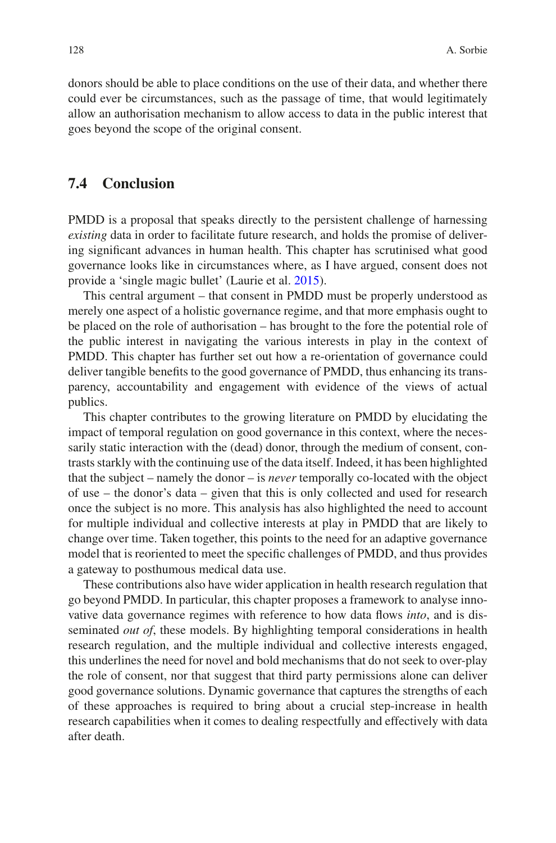donors should be able to place conditions on the use of their data, and whether there could ever be circumstances, such as the passage of time, that would legitimately allow an authorisation mechanism to allow access to data in the public interest that goes beyond the scope of the original consent.

#### **7.4 Conclusion**

PMDD is a proposal that speaks directly to the persistent challenge of harnessing *existing* data in order to facilitate future research, and holds the promise of delivering significant advances in human health. This chapter has scrutinised what good governance looks like in circumstances where, as I have argued, consent does not provide a 'single magic bullet' (Laurie et al. [2015\)](#page-16-7).

This central argument – that consent in PMDD must be properly understood as merely one aspect of a holistic governance regime, and that more emphasis ought to be placed on the role of authorisation – has brought to the fore the potential role of the public interest in navigating the various interests in play in the context of PMDD. This chapter has further set out how a re-orientation of governance could deliver tangible benefits to the good governance of PMDD, thus enhancing its transparency, accountability and engagement with evidence of the views of actual publics.

This chapter contributes to the growing literature on PMDD by elucidating the impact of temporal regulation on good governance in this context, where the necessarily static interaction with the (dead) donor, through the medium of consent, contrasts starkly with the continuing use of the data itself. Indeed, it has been highlighted that the subject – namely the donor – is *never* temporally co-located with the object of use – the donor's data – given that this is only collected and used for research once the subject is no more. This analysis has also highlighted the need to account for multiple individual and collective interests at play in PMDD that are likely to change over time. Taken together, this points to the need for an adaptive governance model that is reoriented to meet the specific challenges of PMDD, and thus provides a gateway to posthumous medical data use.

These contributions also have wider application in health research regulation that go beyond PMDD. In particular, this chapter proposes a framework to analyse innovative data governance regimes with reference to how data flows *into*, and is disseminated *out of*, these models. By highlighting temporal considerations in health research regulation, and the multiple individual and collective interests engaged, this underlines the need for novel and bold mechanisms that do not seek to over-play the role of consent, nor that suggest that third party permissions alone can deliver good governance solutions. Dynamic governance that captures the strengths of each of these approaches is required to bring about a crucial step-increase in health research capabilities when it comes to dealing respectfully and effectively with data after death.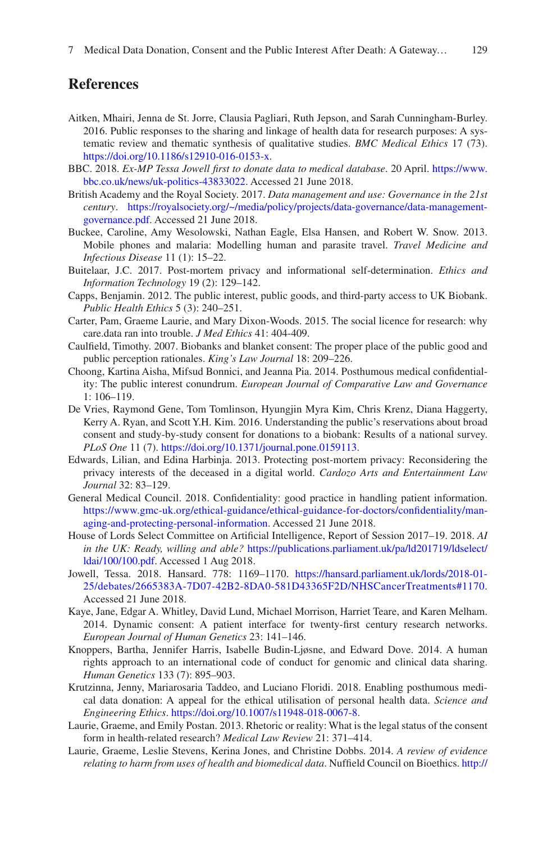#### **References**

- <span id="page-15-4"></span>Aitken, Mhairi, Jenna de St. Jorre, Clausia Pagliari, Ruth Jepson, and Sarah Cunningham-Burley. 2016. Public responses to the sharing and linkage of health data for research purposes: A systematic review and thematic synthesis of qualitative studies. *BMC Medical Ethics* 17 (73). <https://doi.org/10.1186/s12910-016-0153-x>.
- <span id="page-15-7"></span>BBC. 2018. *Ex-MP Tessa Jowell first to donate data to medical database*. 20 April. [https://www.](https://www.bbc.co.uk/news/uk-politics-43833022) [bbc.co.uk/news/uk-politics-43833022](https://www.bbc.co.uk/news/uk-politics-43833022). Accessed 21 June 2018.
- <span id="page-15-0"></span>British Academy and the Royal Society. 2017. *Data management and use: Governance in the 21st century*. [https://royalsociety.org/~/media/policy/projects/data-governance/data-management](https://royalsociety.org/~/media/policy/projects/data-governance/data-management-governance.pdf)[governance.pdf](https://royalsociety.org/~/media/policy/projects/data-governance/data-management-governance.pdf). Accessed 21 June 2018.
- <span id="page-15-3"></span>Buckee, Caroline, Amy Wesolowski, Nathan Eagle, Elsa Hansen, and Robert W. Snow. 2013. Mobile phones and malaria: Modelling human and parasite travel. *Travel Medicine and Infectious Disease* 11 (1): 15–22.
- <span id="page-15-11"></span>Buitelaar, J.C. 2017. Post-mortem privacy and informational self-determination. *Ethics and Information Technology* 19 (2): 129–142.
- <span id="page-15-18"></span>Capps, Benjamin. 2012. The public interest, public goods, and third-party access to UK Biobank. *Public Health Ethics* 5 (3): 240–251.
- <span id="page-15-10"></span>Carter, Pam, Graeme Laurie, and Mary Dixon-Woods. 2015. The social licence for research: why care.data ran into trouble. *J Med Ethics* 41: 404-409.
- <span id="page-15-17"></span>Caulfield, Timothy. 2007. Biobanks and blanket consent: The proper place of the public good and public perception rationales. *King's Law Journal* 18: 209–226.
- <span id="page-15-14"></span>Choong, Kartina Aisha, Mifsud Bonnici, and Jeanna Pia. 2014. Posthumous medical confidentiality: The public interest conundrum. *European Journal of Comparative Law and Governance* 1: 106–119.
- <span id="page-15-15"></span>De Vries, Raymond Gene, Tom Tomlinson, Hyungjin Myra Kim, Chris Krenz, Diana Haggerty, Kerry A. Ryan, and Scott Y.H. Kim. 2016. Understanding the public's reservations about broad consent and study-by-study consent for donations to a biobank: Results of a national survey. *PLoS One* 11 (7).<https://doi.org/10.1371/journal.pone.0159113>.
- <span id="page-15-12"></span>Edwards, Lilian, and Edina Harbinja. 2013. Protecting post-mortem privacy: Reconsidering the privacy interests of the deceased in a digital world. *Cardozo Arts and Entertainment Law Journal* 32: 83–129.
- <span id="page-15-13"></span>General Medical Council. 2018. Confidentiality: good practice in handling patient information. [https://www.gmc-uk.org/ethical-guidance/ethical-guidance-for-doctors/confidentiality/man](https://www.gmc-uk.org/ethical-guidance/ethical-guidance-for-doctors/confidentiality/managing-and-protecting-personal-information)[aging-and-protecting-personal-information.](https://www.gmc-uk.org/ethical-guidance/ethical-guidance-for-doctors/confidentiality/managing-and-protecting-personal-information) Accessed 21 June 2018.
- <span id="page-15-1"></span>House of Lords Select Committee on Artificial Intelligence, Report of Session 2017–19. 2018. *AI in the UK: Ready, willing and able?* [https://publications.parliament.uk/pa/ld201719/ldselect/](https://publications.parliament.uk/pa/ld201719/ldselect/ldai/100/100.pdf) [ldai/100/100.pdf](https://publications.parliament.uk/pa/ld201719/ldselect/ldai/100/100.pdf). Accessed 1 Aug 2018.
- <span id="page-15-6"></span>Jowell, Tessa. 2018. Hansard. 778: 1169–1170. [https://hansard.parliament.uk/lords/2018-01-](https://hansard.parliament.uk/lords/2018-01-25/debates/2665383A-7D07-42B2-8DA0-581D43365F2D/NHSCancerTreatments#1170) [25/debates/2665383A-7D07-42B2-8DA0-581D43365F2D/NHSCancerTreatments#1170](https://hansard.parliament.uk/lords/2018-01-25/debates/2665383A-7D07-42B2-8DA0-581D43365F2D/NHSCancerTreatments#1170). Accessed 21 June 2018.
- <span id="page-15-16"></span>Kaye, Jane, Edgar A. Whitley, David Lund, Michael Morrison, Harriet Teare, and Karen Melham. 2014. Dynamic consent: A patient interface for twenty-first century research networks. *European Journal of Human Genetics* 23: 141–146.
- <span id="page-15-5"></span>Knoppers, Bartha, Jennifer Harris, Isabelle Budin-Ljøsne, and Edward Dove. 2014. A human rights approach to an international code of conduct for genomic and clinical data sharing. *Human Genetics* 133 (7): 895–903.
- <span id="page-15-8"></span>Krutzinna, Jenny, Mariarosaria Taddeo, and Luciano Floridi. 2018. Enabling posthumous medical data donation: A appeal for the ethical utilisation of personal health data. *Science and Engineering Ethics*. [https://doi.org/10.1007/s11948-018-0067-8.](https://doi.org/10.1007/s11948-018-0067-8)
- <span id="page-15-9"></span>Laurie, Graeme, and Emily Postan. 2013. Rhetoric or reality: What is the legal status of the consent form in health-related research? *Medical Law Review* 21: 371–414.
- <span id="page-15-2"></span>Laurie, Graeme, Leslie Stevens, Kerina Jones, and Christine Dobbs. 2014. *A review of evidence relating to harm from uses of health and biomedical data*. Nuffield Council on Bioethics. [http://](http://nuffieldbioethics.org/wp-content/uploads/A-Review-of-Evidence-Relating-to-Harms-Resulting-from-Uses-of-Health-and-Biomedical-Data-FINAL.pdf)